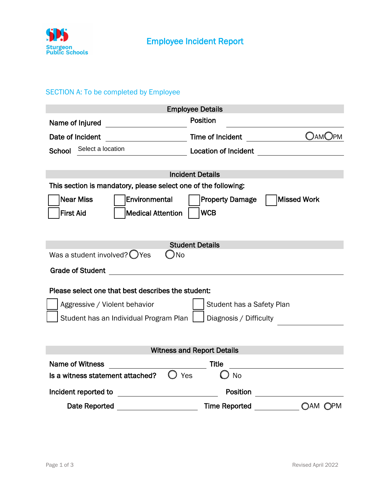

## SECTION A: To be completed by Employee

| <b>Employee Details</b>                                          |                        |                    |  |
|------------------------------------------------------------------|------------------------|--------------------|--|
| Name of Injured                                                  | <b>Position</b>        |                    |  |
| Date of Incident                                                 | Time of Incident       | <b>OAMOPM</b>      |  |
| Select a location<br><b>School</b>                               |                        |                    |  |
|                                                                  |                        |                    |  |
| <b>Incident Details</b>                                          |                        |                    |  |
| This section is mandatory, please select one of the following:   |                        |                    |  |
| <b>Near Miss</b><br><b>Environmental</b>                         | <b>Property Damage</b> | <b>Missed Work</b> |  |
| <b>First Aid</b><br><b>Medical Attention</b>                     | <b>WCB</b>             |                    |  |
|                                                                  |                        |                    |  |
|                                                                  |                        |                    |  |
| <b>Student Details</b>                                           |                        |                    |  |
| Was a student involved? $\bigcirc$ Yes<br>No                     |                        |                    |  |
| <b>Grade of Student</b>                                          |                        |                    |  |
|                                                                  |                        |                    |  |
| Please select one that best describes the student:               |                        |                    |  |
| Aggressive / Violent behavior<br>Student has a Safety Plan       |                        |                    |  |
| Student has an Individual Program Plan<br>Diagnosis / Difficulty |                        |                    |  |
|                                                                  |                        |                    |  |
|                                                                  |                        |                    |  |
| <b>Witness and Report Details</b>                                |                        |                    |  |
| <b>Name of Witness</b>                                           | <b>Title</b>           |                    |  |
| Is a witness statement attached?<br>$\bigcup$ Yes                | <b>No</b>              |                    |  |
| Incident reported to                                             | Position               |                    |  |
| Date Reported                                                    | <b>Time Reported</b>   | OAM OPM            |  |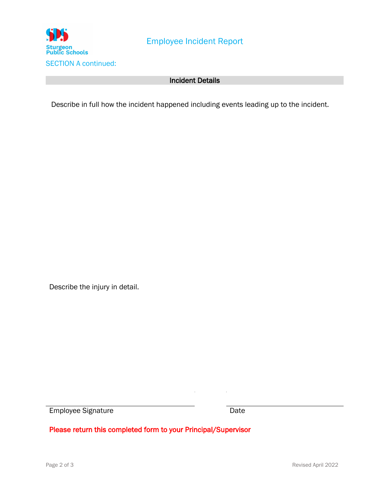

## Incident Details

Describe in full how the incident happened including events leading up to the incident.

Describe the injury in detail.

Employee Signature Date

Please return this completed form to your Principal/Supervisor